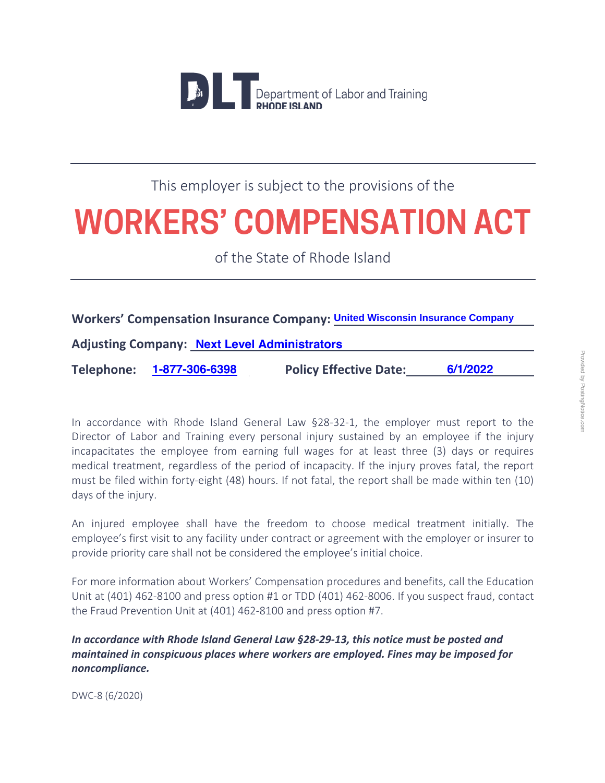

### This employer is subject to the provisions of the

## **WORKERS' COMPENSATION ACT**

of the State of Rhode Island

#### **Workers' Compensation Insurance Company: United Wisconsin Insurance Company**

**Adjusting Company: Next Level Administrators**

**Telephone: 1-877-306-6398 Policy Effective Date: 6/1/2022**

In accordance with Rhode Island General Law §28-32-1, the employer must report to the Director of Labor and Training every personal injury sustained by an employee if the injury incapacitates the employee from earning full wages for at least three (3) days or requires medical treatment, regardless of the period of incapacity. If the injury proves fatal, the report must be filed within forty-eight (48) hours. If not fatal, the report shall be made within ten (10) days of the injury.

An injured employee shall have the freedom to choose medical treatment initially. The employee's first visit to any facility under contract or agreement with the employer or insurer to provide priority care shall not be considered the employee's initial choice.

For more information about Workers' Compensation procedures and benefits, call the Education Unit at (401) 462-8100 and press option #1 or TDD (401) 462-8006. If you suspect fraud, contact the Fraud Prevention Unit at (401) 462-8100 and press option #7.

*In accordance with Rhode Island General Law §28-29-13, this notice must be posted and maintained in conspicuous places where workers are employed. Fines may be imposed for noncompliance.* 

DWC-8 (6/2020)